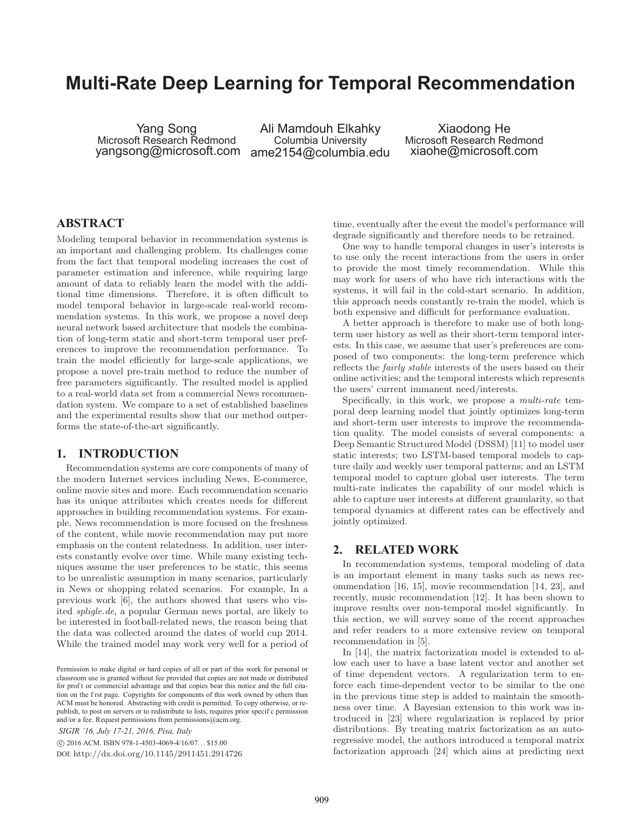# **Multi-Rate Deep Learning for Temporal Recommendation**

Yang Song Microsoft Research Redmond yangsong@microsoft.com

Ali Mamdouh Elkahky Columbia University ame2154@columbia.edu

Xiaodong He Microsoft Research Redmond xiaohe@microsoft.com

# **ABSTRACT**

Modeling temporal behavior in recommendation systems is an important and challenging problem. Its challenges come from the fact that temporal modeling increases the cost of parameter estimation and inference, while requiring large amount of data to reliably learn the model with the additional time dimensions. Therefore, it is often difficult to model temporal behavior in large-scale real-world recommendation systems. In this work, we propose a novel deep neural network based architecture that models the combination of long-term static and short-term temporal user preferences to improve the recommendation performance. To train the model efficiently for large-scale applications, we propose a novel pre-train method to reduce the number of free parameters significantly. The resulted model is applied to a real-world data set from a commercial News recommendation system. We compare to a set of established baselines and the experimental results show that our method outperforms the state-of-the-art significantly.

#### **1. INTRODUCTION**

Recommendation systems are core components of many of the modern Internet services including News, E-commerce, online movie sites and more. Each recommendation scenario has its unique attributes which creates needs for different approaches in building recommendation systems. For example, News recommendation is more focused on the freshness of the content, while movie recommendation may put more emphasis on the content relatedness. In addition, user interests constantly evolve over time. While many existing techniques assume the user preferences to be static, this seems to be unrealistic assumption in many scenarios, particularly in News or shopping related scenarios. For example, In a previous work [6], the authors showed that users who visited spligle.de, a popular German news portal, are likely to be interested in football-related news, the reason being that the data was collected around the dates of world cup 2014. While the trained model may work very well for a period of

*SIGIR '16, July 17-21, 2016, Pisa, Italy*

c 2016 ACM. ISBN 978-1-4503-4069-4/16/07. . . \$15.00

DOI: http://dx.doi.org/10.1145/2911451.2914726

time, eventually after the event the model's performance will degrade significantly and therefore needs to be retrained.

One way to handle temporal changes in user's interests is to use only the recent interactions from the users in order to provide the most timely recommendation. While this may work for users of who have rich interactions with the systems, it will fail in the cold-start scenario. In addition, this approach needs constantly re-train the model, which is both expensive and difficult for performance evaluation.

A better approach is therefore to make use of both longterm user history as well as their short-term temporal interests. In this case, we assume that user's preferences are composed of two components: the long-term preference which reflects the fairly stable interests of the users based on their online activities; and the temporal interests which represents the users' current immanent need/interests.

Specifically, in this work, we propose a multi-rate temporal deep learning model that jointly optimizes long-term and short-term user interests to improve the recommendation quality. The model consists of several components: a Deep Semantic Structured Model (DSSM) [11] to model user static interests; two LSTM-based temporal models to capture daily and weekly user temporal patterns; and an LSTM temporal model to capture global user interests. The term multi-rate indicates the capability of our model which is able to capture user interests at different granularity, so that temporal dynamics at different rates can be effectively and jointly optimized.

## **2. RELATED WORK**

In recommendation systems, temporal modeling of data is an important element in many tasks such as news recommendation [16, 15], movie recommendation [14, 23], and recently, music recommendation [12]. It has been shown to improve results over non-temporal model significantly. In this section, we will survey some of the recent approaches and refer readers to a more extensive review on temporal recommendation in [5].

In [14], the matrix factorization model is extended to allow each user to have a base latent vector and another set of time dependent vectors. A regularization term to enforce each time-dependent vector to be similar to the one in the previous time step is added to maintain the smoothness over time. A Bayesian extension to this work was introduced in [23] where regularization is replaced by prior distributions. By treating matrix factorization as an autoregressive model, the authors introduced a temporal matrix factorization approach [24] which aims at predicting next

Permission to make digital or hard copies of all or part of this work for personal or classroom use is granted without fee provided that copies are not made or distributed for prof t or commercial advantage and that copies bear this notice and the full citation on the f rst page. Copyrights for components of this work owned by others than ACM must be honored. Abstracting with credit is permitted. To copy otherwise, or republish, to post on servers or to redistribute to lists, requires prior specif c permission and/or a fee. Request permissions from permissions@acm.org.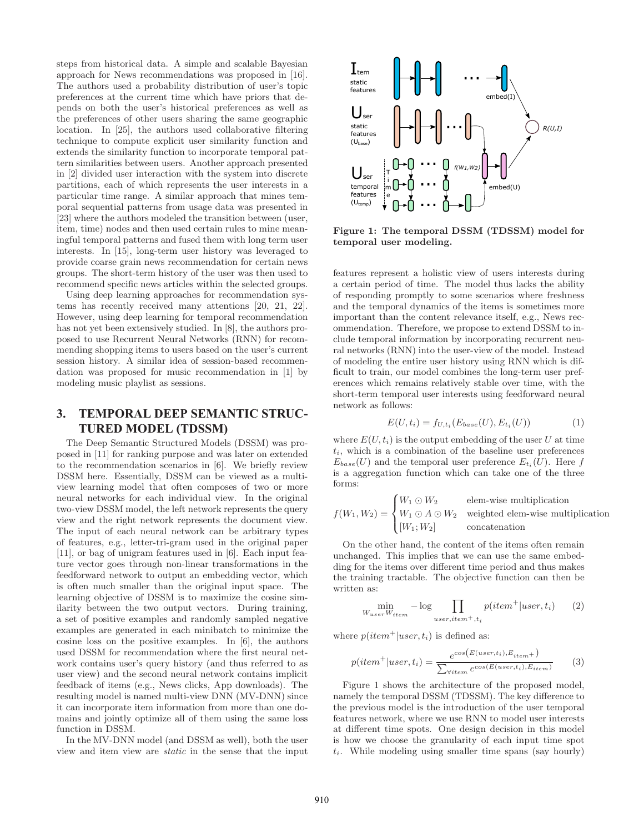steps from historical data. A simple and scalable Bayesian approach for News recommendations was proposed in [16]. The authors used a probability distribution of user's topic preferences at the current time which have priors that depends on both the user's historical preferences as well as the preferences of other users sharing the same geographic location. In [25], the authors used collaborative filtering technique to compute explicit user similarity function and extends the similarity function to incorporate temporal pattern similarities between users. Another approach presented in [2] divided user interaction with the system into discrete partitions, each of which represents the user interests in a particular time range. A similar approach that mines temporal sequential patterns from usage data was presented in [23] where the authors modeled the transition between (user, item, time) nodes and then used certain rules to mine meaningful temporal patterns and fused them with long term user interests. In [15], long-term user history was leveraged to provide coarse grain news recommendation for certain news groups. The short-term history of the user was then used to recommend specific news articles within the selected groups.

Using deep learning approaches for recommendation systems has recently received many attentions [20, 21, 22]. However, using deep learning for temporal recommendation has not yet been extensively studied. In [8], the authors proposed to use Recurrent Neural Networks (RNN) for recommending shopping items to users based on the user's current session history. A similar idea of session-based recommendation was proposed for music recommendation in [1] by modeling music playlist as sessions.

# **3. TEMPORAL DEEP SEMANTIC STRUC-TURED MODEL (TDSSM)**

The Deep Semantic Structured Models (DSSM) was proposed in [11] for ranking purpose and was later on extended to the recommendation scenarios in [6]. We briefly review DSSM here. Essentially, DSSM can be viewed as a multiview learning model that often composes of two or more neural networks for each individual view. In the original two-view DSSM model, the left network represents the query view and the right network represents the document view. The input of each neural network can be arbitrary types of features, e.g., letter-tri-gram used in the original paper [11], or bag of unigram features used in [6]. Each input feature vector goes through non-linear transformations in the feedforward network to output an embedding vector, which is often much smaller than the original input space. The learning objective of DSSM is to maximize the cosine similarity between the two output vectors. During training, a set of positive examples and randomly sampled negative examples are generated in each minibatch to minimize the cosine loss on the positive examples. In [6], the authors used DSSM for recommendation where the first neural network contains user's query history (and thus referred to as user view) and the second neural network contains implicit feedback of items (e.g., News clicks, App downloads). The resulting model is named multi-view DNN (MV-DNN) since it can incorporate item information from more than one domains and jointly optimize all of them using the same loss function in DSSM.

In the MV-DNN model (and DSSM as well), both the user view and item view are static in the sense that the input



Figure 1: The temporal DSSM (TDSSM) model for temporal user modeling.

features represent a holistic view of users interests during a certain period of time. The model thus lacks the ability of responding promptly to some scenarios where freshness and the temporal dynamics of the items is sometimes more important than the content relevance itself, e.g., News recommendation. Therefore, we propose to extend DSSM to include temporal information by incorporating recurrent neural networks (RNN) into the user-view of the model. Instead of modeling the entire user history using RNN which is difficult to train, our model combines the long-term user preferences which remains relatively stable over time, with the short-term temporal user interests using feedforward neural network as follows:

$$
E(U, t_i) = f_{U, t_i}(E_{base}(U), E_{t_i}(U))
$$
\n(1)

where  $E(U, t_i)$  is the output embedding of the user U at time  $t_i$ , which is a combination of the baseline user preferences  $E_{base}(U)$  and the temporal user preference  $E_{t_i}(U)$ . Here f is a aggregation function which can take one of the three forms:

$$
f(W_1, W_2) = \begin{cases} W_1 \odot W_2 & \text{elem-wise multiplication} \\ W_1 \odot A \odot W_2 & \text{weighted elem-wise multiplication} \\ [W_1; W_2] & \text{concatenation} \end{cases}
$$

On the other hand, the content of the items often remain unchanged. This implies that we can use the same embedding for the items over different time period and thus makes the training tractable. The objective function can then be written as:

$$
\min_{W_{user}W_{item}} - \log \prod_{user,item^+, t_i} p(item^+|user, t_i) \qquad (2)
$$

where  $p(item^+|user, t_i)$  is defined as:

$$
p(item^{+}|user,t_{i}) = \frac{e^{\cos\left(E(user,t_{i}),E_{item}+\right)}}{\sum_{\forall item} e^{\cos\left(E(user,t_{i}),E_{item}\right)}} \tag{3}
$$

Figure 1 shows the architecture of the proposed model, namely the temporal DSSM (TDSSM). The key difference to the previous model is the introduction of the user temporal features network, where we use RNN to model user interests at different time spots. One design decision in this model is how we choose the granularity of each input time spot  $t_i$ . While modeling using smaller time spans (say hourly)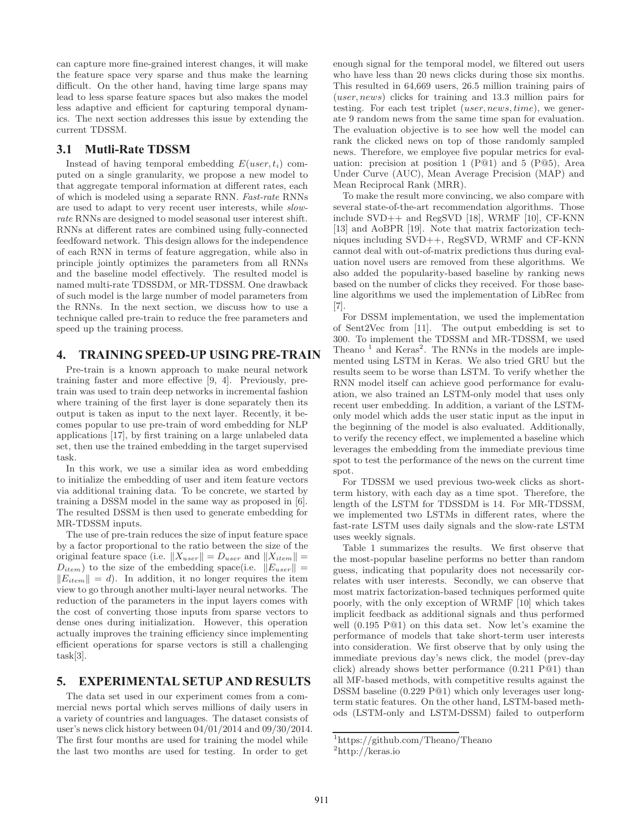can capture more fine-grained interest changes, it will make the feature space very sparse and thus make the learning difficult. On the other hand, having time large spans may lead to less sparse feature spaces but also makes the model less adaptive and efficient for capturing temporal dynamics. The next section addresses this issue by extending the current TDSSM.

#### **3.1 Mutli-Rate TDSSM**

Instead of having temporal embedding  $E(user, t_i)$  computed on a single granularity, we propose a new model to that aggregate temporal information at different rates, each of which is modeled using a separate RNN. Fast-rate RNNs are used to adapt to very recent user interests, while slowrate RNNs are designed to model seasonal user interest shift. RNNs at different rates are combined using fully-connected feedfoward network. This design allows for the independence of each RNN in terms of feature aggregation, while also in principle jointly optimizes the parameters from all RNNs and the baseline model effectively. The resulted model is named multi-rate TDSSDM, or MR-TDSSM. One drawback of such model is the large number of model parameters from the RNNs. In the next section, we discuss how to use a technique called pre-train to reduce the free parameters and speed up the training process.

#### **4. TRAINING SPEED-UP USING PRE-TRAIN**

Pre-train is a known approach to make neural network training faster and more effective [9, 4]. Previously, pretrain was used to train deep networks in incremental fashion where training of the first layer is done separately then its output is taken as input to the next layer. Recently, it becomes popular to use pre-train of word embedding for NLP applications [17], by first training on a large unlabeled data set, then use the trained embedding in the target supervised task.

In this work, we use a similar idea as word embedding to initialize the embedding of user and item feature vectors via additional training data. To be concrete, we started by training a DSSM model in the same way as proposed in [6]. The resulted DSSM is then used to generate embedding for MR-TDSSM inputs.

The use of pre-train reduces the size of input feature space by a factor proportional to the ratio between the size of the original feature space (i.e.  $\|X_{user}\| = D_{user}$  and  $\|X_{item}\| =$  $D_{item}$ ) to the size of the embedding space(i.e.  $||E_{user}|| =$  $||E_{item}|| = d$ . In addition, it no longer requires the item view to go through another multi-layer neural networks. The reduction of the parameters in the input layers comes with the cost of converting those inputs from sparse vectors to dense ones during initialization. However, this operation actually improves the training efficiency since implementing efficient operations for sparse vectors is still a challenging task[3].

#### **5. EXPERIMENTAL SETUP AND RESULTS**

The data set used in our experiment comes from a commercial news portal which serves millions of daily users in a variety of countries and languages. The dataset consists of user's news click history between 04/01/2014 and 09/30/2014. The first four months are used for training the model while the last two months are used for testing. In order to get

enough signal for the temporal model, we filtered out users who have less than 20 news clicks during those six months. This resulted in 64,669 users, 26.5 million training pairs of (user, news) clicks for training and 13.3 million pairs for testing. For each test triplet (user, news, time), we generate 9 random news from the same time span for evaluation. The evaluation objective is to see how well the model can rank the clicked news on top of those randomly sampled news. Therefore, we employee five popular metrics for evaluation: precision at position 1 (P@1) and 5 (P@5), Area Under Curve (AUC), Mean Average Precision (MAP) and Mean Reciprocal Rank (MRR).

To make the result more convincing, we also compare with several state-of-the-art recommendation algorithms. Those include SVD++ and RegSVD [18], WRMF [10], CF-KNN [13] and AoBPR [19]. Note that matrix factorization techniques including SVD++, RegSVD, WRMF and CF-KNN cannot deal with out-of-matrix predictions thus during evaluation novel users are removed from these algorithms. We also added the popularity-based baseline by ranking news based on the number of clicks they received. For those baseline algorithms we used the implementation of LibRec from [7].

For DSSM implementation, we used the implementation of Sent2Vec from [11]. The output embedding is set to 300. To implement the TDSSM and MR-TDSSM, we used Theano<sup>1</sup> and Keras<sup>2</sup>. The RNNs in the models are implemented using LSTM in Keras. We also tried GRU but the results seem to be worse than LSTM. To verify whether the RNN model itself can achieve good performance for evaluation, we also trained an LSTM-only model that uses only recent user embedding. In addition, a variant of the LSTMonly model which adds the user static input as the input in the beginning of the model is also evaluated. Additionally, to verify the recency effect, we implemented a baseline which leverages the embedding from the immediate previous time spot to test the performance of the news on the current time spot.

For TDSSM we used previous two-week clicks as shortterm history, with each day as a time spot. Therefore, the length of the LSTM for TDSSDM is 14. For MR-TDSSM, we implemented two LSTMs in different rates, where the fast-rate LSTM uses daily signals and the slow-rate LSTM uses weekly signals.

Table 1 summarizes the results. We first observe that the most-popular baseline performs no better than random guess, indicating that popularity does not necessarily correlates with user interests. Secondly, we can observe that most matrix factorization-based techniques performed quite poorly, with the only exception of WRMF [10] which takes implicit feedback as additional signals and thus performed well (0.195 P@1) on this data set. Now let's examine the performance of models that take short-term user interests into consideration. We first observe that by only using the immediate previous day's news click, the model (prev-day click) already shows better performance (0.211 P@1) than all MF-based methods, with competitive results against the DSSM baseline (0.229 P@1) which only leverages user longterm static features. On the other hand, LSTM-based methods (LSTM-only and LSTM-DSSM) failed to outperform

<sup>1</sup>https://github.com/Theano/Theano

<sup>2</sup> http://keras.io